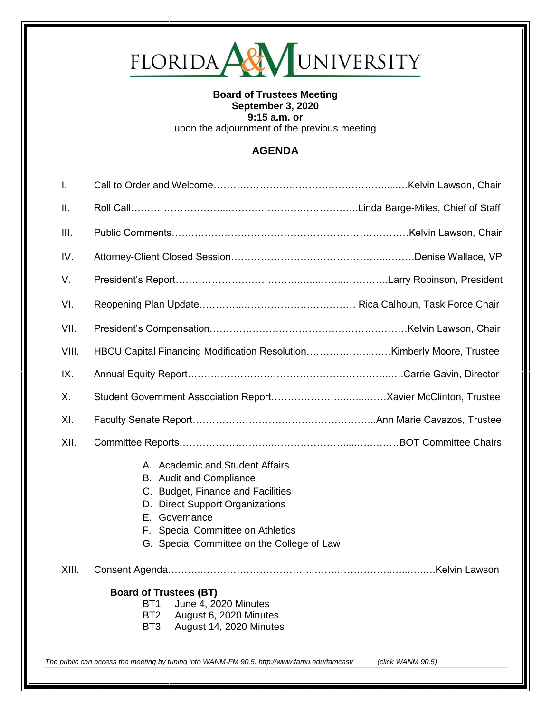## 

## **Board of Trustees Meeting September 3, 2020 9:15 a.m. or**  upon the adjournment of the previous meeting

## **AGENDA**

| A. Academic and Student Affairs<br>B. Audit and Compliance<br>C. Budget, Finance and Facilities<br>D. Direct Support Organizations<br>E. Governance<br>F. Special Committee on Athletics<br>G. Special Committee on the College of Law |                                                                                             |
|----------------------------------------------------------------------------------------------------------------------------------------------------------------------------------------------------------------------------------------|---------------------------------------------------------------------------------------------|
|                                                                                                                                                                                                                                        |                                                                                             |
| <b>Board of Trustees (BT)</b><br>BT <sub>1</sub><br>June 4, 2020 Minutes<br>BT <sub>2</sub><br>August 6, 2020 Minutes<br>BT <sub>3</sub><br>August 14, 2020 Minutes                                                                    | (click WANM 90.5)                                                                           |
|                                                                                                                                                                                                                                        | The public can access the meeting by tuning into WANM-FM 90.5. http://www.famu.edu/famcast/ |